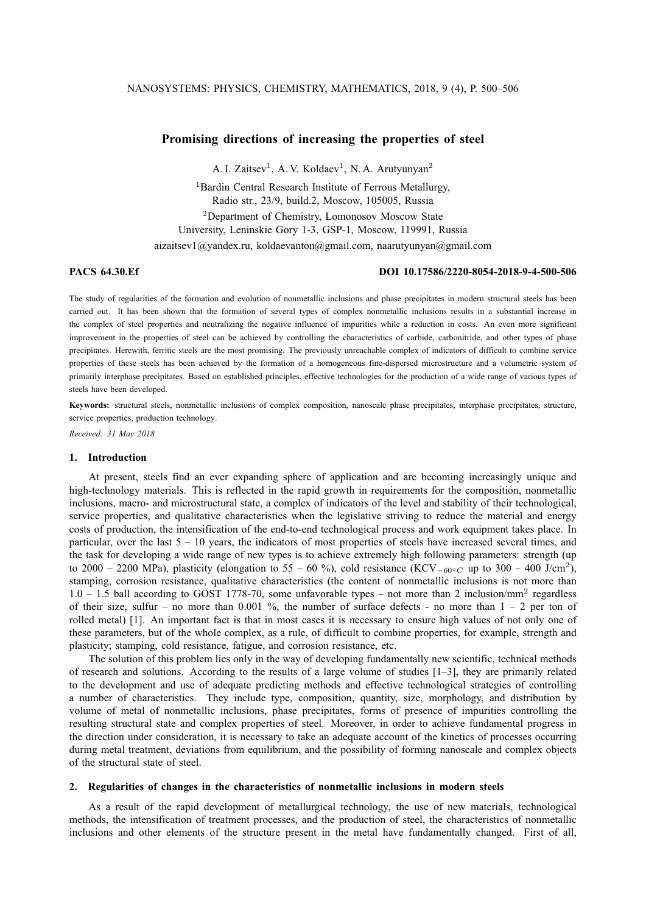# **Promising directions of increasing the properties of steel**

A. I. Zaitsev<sup>1</sup>, A. V. Koldaev<sup>1</sup>, N. A. Arutyunyan<sup>2</sup>

<sup>1</sup>Bardin Central Research Institute of Ferrous Metallurgy, Radio str., 23/9, build.2, Moscow, 105005, Russia <sup>2</sup>Department of Chemistry, Lomonosov Moscow State

University, Leninskie Gory 1-3, GSP-1, Moscow, 119991, Russia aizaitsev1@yandex.ru, koldaevanton@gmail.com, naarutyunyan@gmail.com

## **PACS 64.30.Ef DOI 10.17586/2220-8054-2018-9-4-500-506**

The study of regularities of the formation and evolution of nonmetallic inclusions and phase precipitates in modern structural steels has been carried out. It has been shown that the formation of several types of complex nonmetallic inclusions results in a substantial increase in the complex of steel properties and neutralizing the negative influence of impurities while a reduction in costs. An even more significant improvement in the properties of steel can be achieved by controlling the characteristics of carbide, carbonitride, and other types of phase precipitates. Herewith, ferritic steels are the most promising. The previously unreachable complex of indicators of difficult to combine service properties of these steels has been achieved by the formation of a homogeneous fine-dispersed microstructure and a volumetric system of primarily interphase precipitates. Based on established principles, effective technologies for the production of a wide range of various types of steels have been developed.

Keywords: structural steels, nonmetallic inclusions of complex composition, nanoscale phase precipitates, interphase precipitates, structure, service properties, production technology.

*Received: 31 May 2018*

### **1. Introduction**

At present, steels find an ever expanding sphere of application and are becoming increasingly unique and high-technology materials. This is reflected in the rapid growth in requirements for the composition, nonmetallic inclusions, macro- and microstructural state, a complex of indicators of the level and stability of their technological, service properties, and qualitative characteristics when the legislative striving to reduce the material and energy costs of production, the intensification of the end-to-end technological process and work equipment takes place. In particular, over the last  $5 - 10$  years, the indicators of most properties of steels have increased several times, and the task for developing a wide range of new types is to achieve extremely high following parameters: strength (up to 2000 – 2200 MPa), plasticity (elongation to 55 – 60 %), cold resistance (KCV<sub>-60</sub>∘<sub>C</sub> up to 300 – 400 J/cm<sup>2</sup>), stamping, corrosion resistance, qualitative characteristics (the content of nonmetallic inclusions is not more than 1.0 - 1.5 ball according to GOST 1778-70, some unfavorable types - not more than 2 inclusion/mm<sup>2</sup> regardless of their size, sulfur – no more than 0.001 %, the number of surface defects - no more than  $1 - 2$  per ton of rolled metal) [1]. An important fact is that in most cases it is necessary to ensure high values of not only one of these parameters, but of the whole complex, as a rule, of difficult to combine properties, for example, strength and plasticity; stamping, cold resistance, fatigue, and corrosion resistance, etc.

The solution of this problem lies only in the way of developing fundamentally new scientific, technical methods of research and solutions. According to the results of a large volume of studies [1–3], they are primarily related to the development and use of adequate predicting methods and effective technological strategies of controlling a number of characteristics. They include type, composition, quantity, size, morphology, and distribution by volume of metal of nonmetallic inclusions, phase precipitates, forms of presence of impurities controlling the resulting structural state and complex properties of steel. Moreover, in order to achieve fundamental progress in the direction under consideration, it is necessary to take an adequate account of the kinetics of processes occurring during metal treatment, deviations from equilibrium, and the possibility of forming nanoscale and complex objects of the structural state of steel.

## **2. Regularities of changes in the characteristics of nonmetallic inclusions in modern steels**

As a result of the rapid development of metallurgical technology, the use of new materials, technological methods, the intensification of treatment processes, and the production of steel, the characteristics of nonmetallic inclusions and other elements of the structure present in the metal have fundamentally changed. First of all,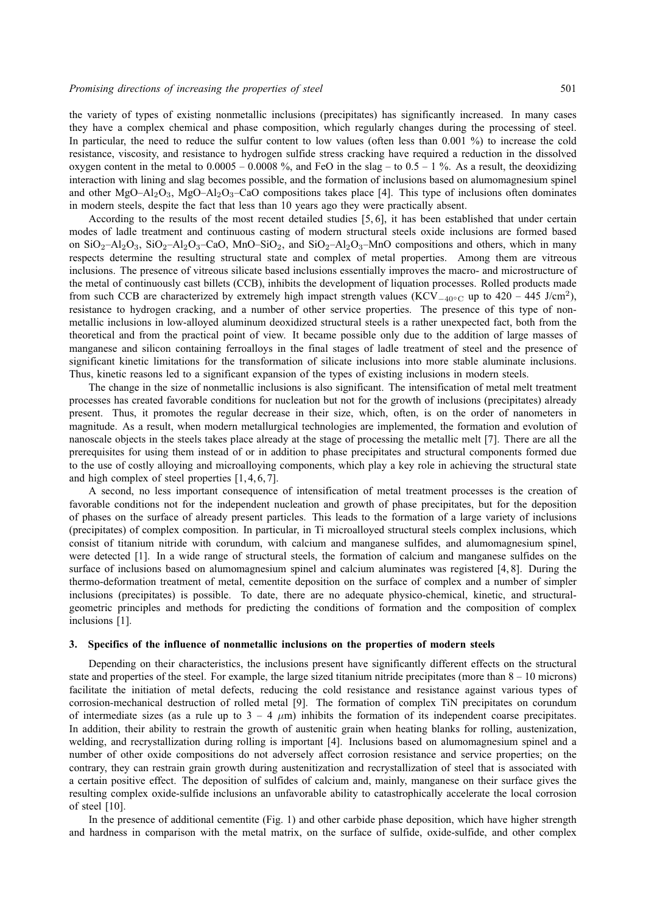the variety of types of existing nonmetallic inclusions (precipitates) has significantly increased. In many cases they have a complex chemical and phase composition, which regularly changes during the processing of steel. In particular, the need to reduce the sulfur content to low values (often less than 0.001 %) to increase the cold resistance, viscosity, and resistance to hydrogen sulfide stress cracking have required a reduction in the dissolved oxygen content in the metal to  $0.0005 - 0.0008$ %, and FeO in the slag – to  $0.5 - 1$ %. As a result, the deoxidizing interaction with lining and slag becomes possible, and the formation of inclusions based on alumomagnesium spinel and other MgO–Al<sub>2</sub>O<sub>3</sub>, MgO–Al<sub>2</sub>O<sub>3</sub>–CaO compositions takes place [4]. This type of inclusions often dominates in modern steels, despite the fact that less than 10 years ago they were practically absent.

According to the results of the most recent detailed studies [5, 6], it has been established that under certain modes of ladle treatment and continuous casting of modern structural steels oxide inclusions are formed based on  $SiO_2-Al_2O_3$ ,  $SiO_2-Al_2O_3-CaO$ ,  $MnO-SiO_2$ , and  $SiO_2-Al_2O_3-MnO$  compositions and others, which in many respects determine the resulting structural state and complex of metal properties. Among them are vitreous inclusions. The presence of vitreous silicate based inclusions essentially improves the macro- and microstructure of the metal of continuously cast billets (CCB), inhibits the development of liquation processes. Rolled products made from such CCB are characterized by extremely high impact strength values (KCV<sub>-40</sub>∘<sub>C</sub> up to 420 – 445 J/cm<sup>2</sup>), resistance to hydrogen cracking, and a number of other service properties. The presence of this type of nonmetallic inclusions in low-alloyed aluminum deoxidized structural steels is a rather unexpected fact, both from the theoretical and from the practical point of view. It became possible only due to the addition of large masses of manganese and silicon containing ferroalloys in the final stages of ladle treatment of steel and the presence of significant kinetic limitations for the transformation of silicate inclusions into more stable aluminate inclusions. Thus, kinetic reasons led to a significant expansion of the types of existing inclusions in modern steels.

The change in the size of nonmetallic inclusions is also significant. The intensification of metal melt treatment processes has created favorable conditions for nucleation but not for the growth of inclusions (precipitates) already present. Thus, it promotes the regular decrease in their size, which, often, is on the order of nanometers in magnitude. As a result, when modern metallurgical technologies are implemented, the formation and evolution of nanoscale objects in the steels takes place already at the stage of processing the metallic melt [7]. There are all the prerequisites for using them instead of or in addition to phase precipitates and structural components formed due to the use of costly alloying and microalloying components, which play a key role in achieving the structural state and high complex of steel properties [1, 4, 6, 7].

A second, no less important consequence of intensification of metal treatment processes is the creation of favorable conditions not for the independent nucleation and growth of phase precipitates, but for the deposition of phases on the surface of already present particles. This leads to the formation of a large variety of inclusions (precipitates) of complex composition. In particular, in Ti microalloyed structural steels complex inclusions, which consist of titanium nitride with corundum, with calcium and manganese sulfides, and alumomagnesium spinel, were detected [1]. In a wide range of structural steels, the formation of calcium and manganese sulfides on the surface of inclusions based on alumomagnesium spinel and calcium aluminates was registered [4, 8]. During the thermo-deformation treatment of metal, cementite deposition on the surface of complex and a number of simpler inclusions (precipitates) is possible. To date, there are no adequate physico-chemical, kinetic, and structuralgeometric principles and methods for predicting the conditions of formation and the composition of complex inclusions [1].

#### **3. Specifics of the influence of nonmetallic inclusions on the properties of modern steels**

Depending on their characteristics, the inclusions present have significantly different effects on the structural state and properties of the steel. For example, the large sized titanium nitride precipitates (more than  $8 - 10$  microns) facilitate the initiation of metal defects, reducing the cold resistance and resistance against various types of corrosion-mechanical destruction of rolled metal [9]. The formation of complex TiN precipitates on corundum of intermediate sizes (as a rule up to  $3 - 4 \mu m$ ) inhibits the formation of its independent coarse precipitates. In addition, their ability to restrain the growth of austenitic grain when heating blanks for rolling, austenization, welding, and recrystallization during rolling is important [4]. Inclusions based on alumomagnesium spinel and a number of other oxide compositions do not adversely affect corrosion resistance and service properties; on the contrary, they can restrain grain growth during austenitization and recrystallization of steel that is associated with a certain positive effect. The deposition of sulfides of calcium and, mainly, manganese on their surface gives the resulting complex oxide-sulfide inclusions an unfavorable ability to catastrophically accelerate the local corrosion of steel [10].

In the presence of additional cementite (Fig. 1) and other carbide phase deposition, which have higher strength and hardness in comparison with the metal matrix, on the surface of sulfide, oxide-sulfide, and other complex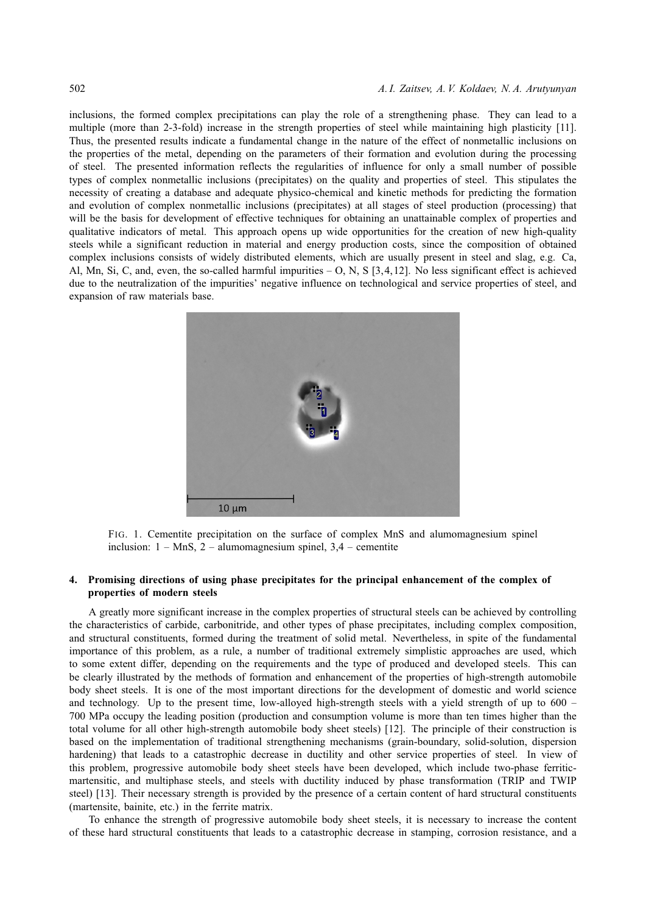inclusions, the formed complex precipitations can play the role of a strengthening phase. They can lead to a multiple (more than 2-3-fold) increase in the strength properties of steel while maintaining high plasticity [11]. Thus, the presented results indicate a fundamental change in the nature of the effect of nonmetallic inclusions on the properties of the metal, depending on the parameters of their formation and evolution during the processing of steel. The presented information reflects the regularities of influence for only a small number of possible types of complex nonmetallic inclusions (precipitates) on the quality and properties of steel. This stipulates the necessity of creating a database and adequate physico-chemical and kinetic methods for predicting the formation and evolution of complex nonmetallic inclusions (precipitates) at all stages of steel production (processing) that will be the basis for development of effective techniques for obtaining an unattainable complex of properties and qualitative indicators of metal. This approach opens up wide opportunities for the creation of new high-quality steels while a significant reduction in material and energy production costs, since the composition of obtained complex inclusions consists of widely distributed elements, which are usually present in steel and slag, e.g. Ca, Al, Mn, Si, C, and, even, the so-called harmful impurities  $-$  O, N, S [3,4,12]. No less significant effect is achieved due to the neutralization of the impurities' negative influence on technological and service properties of steel, and expansion of raw materials base.



FIG. 1. Cementite precipitation on the surface of complex MnS and alumomagnesium spinel inclusion:  $1 - MnS$ ,  $2 - \text{alumomagnesium spinel}$ ,  $3.4 - \text{cemente}$ 

## **4. Promising directions of using phase precipitates for the principal enhancement of the complex of properties of modern steels**

A greatly more significant increase in the complex properties of structural steels can be achieved by controlling the characteristics of carbide, carbonitride, and other types of phase precipitates, including complex composition, and structural constituents, formed during the treatment of solid metal. Nevertheless, in spite of the fundamental importance of this problem, as a rule, a number of traditional extremely simplistic approaches are used, which to some extent differ, depending on the requirements and the type of produced and developed steels. This can be clearly illustrated by the methods of formation and enhancement of the properties of high-strength automobile body sheet steels. It is one of the most important directions for the development of domestic and world science and technology. Up to the present time, low-alloyed high-strength steels with a yield strength of up to 600 – 700 MPa occupy the leading position (production and consumption volume is more than ten times higher than the total volume for all other high-strength automobile body sheet steels) [12]. The principle of their construction is based on the implementation of traditional strengthening mechanisms (grain-boundary, solid-solution, dispersion hardening) that leads to a catastrophic decrease in ductility and other service properties of steel. In view of this problem, progressive automobile body sheet steels have been developed, which include two-phase ferriticmartensitic, and multiphase steels, and steels with ductility induced by phase transformation (TRIP and TWIP steel) [13]. Their necessary strength is provided by the presence of a certain content of hard structural constituents (martensite, bainite, etc.) in the ferrite matrix.

To enhance the strength of progressive automobile body sheet steels, it is necessary to increase the content of these hard structural constituents that leads to a catastrophic decrease in stamping, corrosion resistance, and a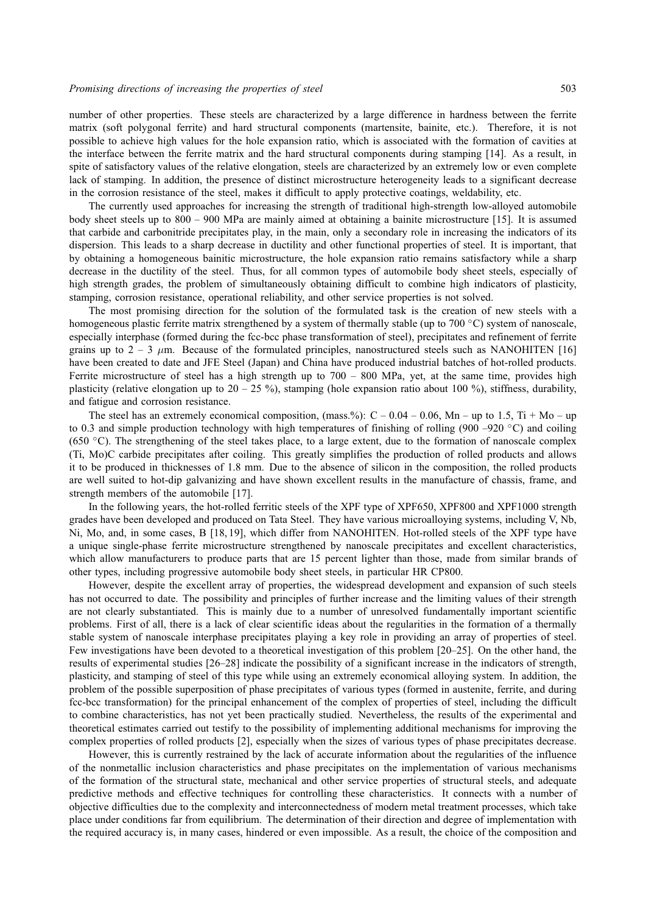number of other properties. These steels are characterized by a large difference in hardness between the ferrite matrix (soft polygonal ferrite) and hard structural components (martensite, bainite, etc.). Therefore, it is not possible to achieve high values for the hole expansion ratio, which is associated with the formation of cavities at the interface between the ferrite matrix and the hard structural components during stamping [14]. As a result, in spite of satisfactory values of the relative elongation, steels are characterized by an extremely low or even complete lack of stamping. In addition, the presence of distinct microstructure heterogeneity leads to a significant decrease in the corrosion resistance of the steel, makes it difficult to apply protective coatings, weldability, etc.

The currently used approaches for increasing the strength of traditional high-strength low-alloyed automobile body sheet steels up to 800 – 900 MPa are mainly aimed at obtaining a bainite microstructure [15]. It is assumed that carbide and carbonitride precipitates play, in the main, only a secondary role in increasing the indicators of its dispersion. This leads to a sharp decrease in ductility and other functional properties of steel. It is important, that by obtaining a homogeneous bainitic microstructure, the hole expansion ratio remains satisfactory while a sharp decrease in the ductility of the steel. Thus, for all common types of automobile body sheet steels, especially of high strength grades, the problem of simultaneously obtaining difficult to combine high indicators of plasticity, stamping, corrosion resistance, operational reliability, and other service properties is not solved.

The most promising direction for the solution of the formulated task is the creation of new steels with a homogeneous plastic ferrite matrix strengthened by a system of thermally stable (up to 700 ◦C) system of nanoscale, especially interphase (formed during the fcc-bcc phase transformation of steel), precipitates and refinement of ferrite grains up to  $2 - 3$   $\mu$ m. Because of the formulated principles, nanostructured steels such as NANOHITEN [16] have been created to date and JFE Steel (Japan) and China have produced industrial batches of hot-rolled products. Ferrite microstructure of steel has a high strength up to 700 – 800 MPa, yet, at the same time, provides high plasticity (relative elongation up to  $20 - 25$ %), stamping (hole expansion ratio about 100 %), stiffness, durability, and fatigue and corrosion resistance.

The steel has an extremely economical composition, (mass.%):  $C - 0.04 - 0.06$ , Mn – up to 1.5, Ti + Mo – up to 0.3 and simple production technology with high temperatures of finishing of rolling (900 –920 °C) and coiling (650  $\degree$ C). The strengthening of the steel takes place, to a large extent, due to the formation of nanoscale complex (Ti, Mo)C carbide precipitates after coiling. This greatly simplifies the production of rolled products and allows it to be produced in thicknesses of 1.8 mm. Due to the absence of silicon in the composition, the rolled products are well suited to hot-dip galvanizing and have shown excellent results in the manufacture of chassis, frame, and strength members of the automobile [17].

In the following years, the hot-rolled ferritic steels of the XPF type of XPF650, XPF800 and XPF1000 strength grades have been developed and produced on Tata Steel. They have various microalloying systems, including V, Nb, Ni, Mo, and, in some cases, B [18, 19], which differ from NANOHITEN. Hot-rolled steels of the XPF type have a unique single-phase ferrite microstructure strengthened by nanoscale precipitates and excellent characteristics, which allow manufacturers to produce parts that are 15 percent lighter than those, made from similar brands of other types, including progressive automobile body sheet steels, in particular HR CP800.

However, despite the excellent array of properties, the widespread development and expansion of such steels has not occurred to date. The possibility and principles of further increase and the limiting values of their strength are not clearly substantiated. This is mainly due to a number of unresolved fundamentally important scientific problems. First of all, there is a lack of clear scientific ideas about the regularities in the formation of a thermally stable system of nanoscale interphase precipitates playing a key role in providing an array of properties of steel. Few investigations have been devoted to a theoretical investigation of this problem [20–25]. On the other hand, the results of experimental studies [26–28] indicate the possibility of a significant increase in the indicators of strength, plasticity, and stamping of steel of this type while using an extremely economical alloying system. In addition, the problem of the possible superposition of phase precipitates of various types (formed in austenite, ferrite, and during fcc-bcc transformation) for the principal enhancement of the complex of properties of steel, including the difficult to combine characteristics, has not yet been practically studied. Nevertheless, the results of the experimental and theoretical estimates carried out testify to the possibility of implementing additional mechanisms for improving the complex properties of rolled products [2], especially when the sizes of various types of phase precipitates decrease.

However, this is currently restrained by the lack of accurate information about the regularities of the influence of the nonmetallic inclusion characteristics and phase precipitates on the implementation of various mechanisms of the formation of the structural state, mechanical and other service properties of structural steels, and adequate predictive methods and effective techniques for controlling these characteristics. It connects with a number of objective difficulties due to the complexity and interconnectedness of modern metal treatment processes, which take place under conditions far from equilibrium. The determination of their direction and degree of implementation with the required accuracy is, in many cases, hindered or even impossible. As a result, the choice of the composition and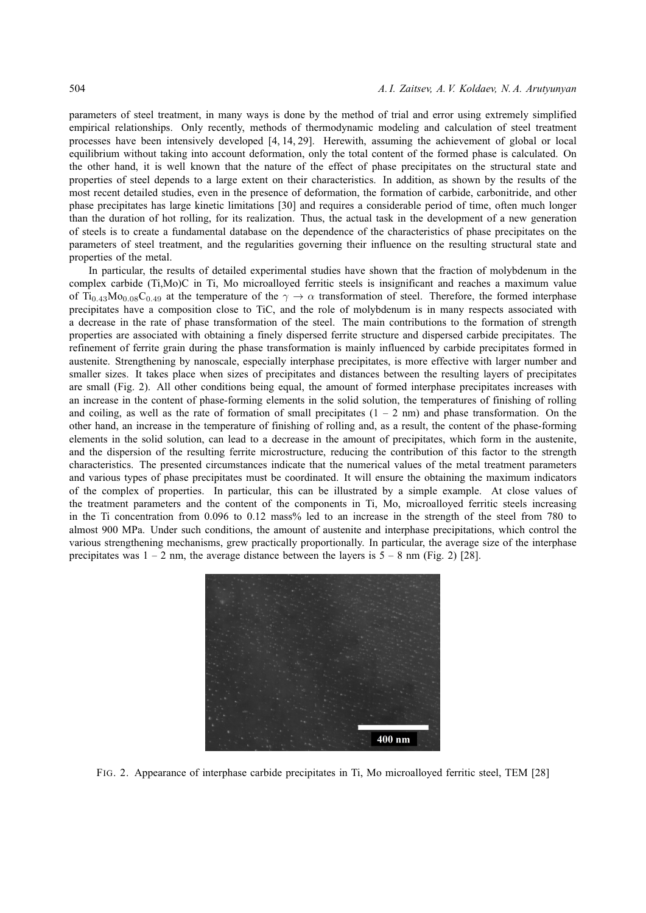parameters of steel treatment, in many ways is done by the method of trial and error using extremely simplified empirical relationships. Only recently, methods of thermodynamic modeling and calculation of steel treatment processes have been intensively developed [4, 14, 29]. Herewith, assuming the achievement of global or local equilibrium without taking into account deformation, only the total content of the formed phase is calculated. On the other hand, it is well known that the nature of the effect of phase precipitates on the structural state and properties of steel depends to a large extent on their characteristics. In addition, as shown by the results of the most recent detailed studies, even in the presence of deformation, the formation of carbide, carbonitride, and other phase precipitates has large kinetic limitations [30] and requires a considerable period of time, often much longer than the duration of hot rolling, for its realization. Thus, the actual task in the development of a new generation of steels is to create a fundamental database on the dependence of the characteristics of phase precipitates on the parameters of steel treatment, and the regularities governing their influence on the resulting structural state and properties of the metal.

In particular, the results of detailed experimental studies have shown that the fraction of molybdenum in the complex carbide (Ti,Mo)C in Ti, Mo microalloyed ferritic steels is insignificant and reaches a maximum value of Ti<sub>0.43</sub>Mo<sub>0.08</sub>C<sub>0.49</sub> at the temperature of the  $\gamma \to \alpha$  transformation of steel. Therefore, the formed interphase precipitates have a composition close to TiC, and the role of molybdenum is in many respects associated with a decrease in the rate of phase transformation of the steel. The main contributions to the formation of strength properties are associated with obtaining a finely dispersed ferrite structure and dispersed carbide precipitates. The refinement of ferrite grain during the phase transformation is mainly influenced by carbide precipitates formed in austenite. Strengthening by nanoscale, especially interphase precipitates, is more effective with larger number and smaller sizes. It takes place when sizes of precipitates and distances between the resulting layers of precipitates are small (Fig. 2). All other conditions being equal, the amount of formed interphase precipitates increases with an increase in the content of phase-forming elements in the solid solution, the temperatures of finishing of rolling and coiling, as well as the rate of formation of small precipitates  $(1 - 2 \text{ nm})$  and phase transformation. On the other hand, an increase in the temperature of finishing of rolling and, as a result, the content of the phase-forming elements in the solid solution, can lead to a decrease in the amount of precipitates, which form in the austenite, and the dispersion of the resulting ferrite microstructure, reducing the contribution of this factor to the strength characteristics. The presented circumstances indicate that the numerical values of the metal treatment parameters and various types of phase precipitates must be coordinated. It will ensure the obtaining the maximum indicators of the complex of properties. In particular, this can be illustrated by a simple example. At close values of the treatment parameters and the content of the components in Ti, Mo, microalloyed ferritic steels increasing in the Ti concentration from 0.096 to 0.12 mass% led to an increase in the strength of the steel from 780 to almost 900 MPa. Under such conditions, the amount of austenite and interphase precipitations, which control the various strengthening mechanisms, grew practically proportionally. In particular, the average size of the interphase precipitates was  $1 - 2$  nm, the average distance between the layers is  $5 - 8$  nm (Fig. 2) [28].



FIG. 2. Appearance of interphase carbide precipitates in Ti, Mo microalloyed ferritic steel, TEM [28]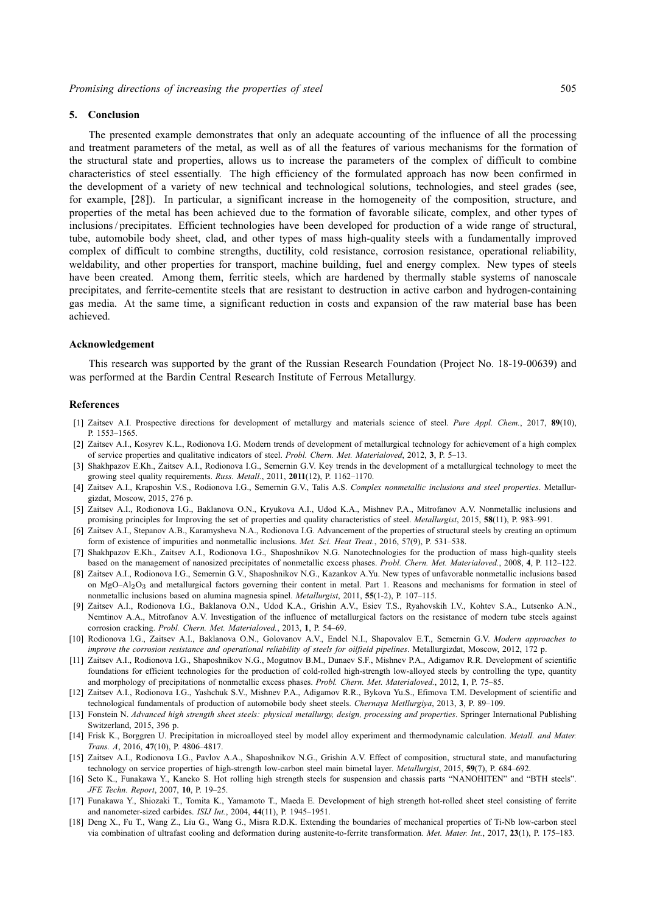#### **5. Conclusion**

The presented example demonstrates that only an adequate accounting of the influence of all the processing and treatment parameters of the metal, as well as of all the features of various mechanisms for the formation of the structural state and properties, allows us to increase the parameters of the complex of difficult to combine characteristics of steel essentially. The high efficiency of the formulated approach has now been confirmed in the development of a variety of new technical and technological solutions, technologies, and steel grades (see, for example, [28]). In particular, a significant increase in the homogeneity of the composition, structure, and properties of the metal has been achieved due to the formation of favorable silicate, complex, and other types of inclusions / precipitates. Efficient technologies have been developed for production of a wide range of structural, tube, automobile body sheet, clad, and other types of mass high-quality steels with a fundamentally improved complex of difficult to combine strengths, ductility, cold resistance, corrosion resistance, operational reliability, weldability, and other properties for transport, machine building, fuel and energy complex. New types of steels have been created. Among them, ferritic steels, which are hardened by thermally stable systems of nanoscale precipitates, and ferrite-cementite steels that are resistant to destruction in active carbon and hydrogen-containing gas media. At the same time, a significant reduction in costs and expansion of the raw material base has been achieved.

#### **Acknowledgement**

This research was supported by the grant of the Russian Research Foundation (Project No. 18-19-00639) and was performed at the Bardin Central Research Institute of Ferrous Metallurgy.

#### **References**

- [1] Zaitsev A.I. Prospective directions for development of metallurgy and materials science of steel. *Pure Appl. Chem.*, 2017, **89**(10), P. 1553–1565.
- [2] Zaitsev A.I., Kosyrev K.L., Rodionova I.G. Modern trends of development of metallurgical technology for achievement of a high complex of service properties and qualitative indicators of steel. *Probl. Chern. Met. Materialoved*, 2012, **3**, P. 5–13.
- [3] Shakhpazov E.Kh., Zaitsev A.I., Rodionova I.G., Semernin G.V. Key trends in the development of a metallurgical technology to meet the growing steel quality requirements. *Russ. Metall.*, 2011, **2011**(12), P. 1162–1170.
- [4] Zaitsev A.I., Kraposhin V.S., Rodionova I.G., Semernin G.V., Talis A.S. *Complex nonmetallic inclusions and steel properties*. Metallurgizdat, Moscow, 2015, 276 p.
- [5] Zaitsev A.I., Rodionova I.G., Baklanova O.N., Kryukova A.I., Udod K.A., Mishnev P.A., Mitrofanov A.V. Nonmetallic inclusions and promising principles for Improving the set of properties and quality characteristics of steel. *Metallurgist*, 2015, **58**(11), P. 983–991.
- [6] Zaitsev A.I., Stepanov A.B., Karamysheva N.A., Rodionova I.G. Advancement of the properties of structural steels by creating an optimum form of existence of impurities and nonmetallic inclusions. *Met. Sci. Heat Treat.*, 2016, 57(9), P. 531–538.
- [7] Shakhpazov E.Kh., Zaitsev A.I., Rodionova I.G., Shaposhnikov N.G. Nanotechnologies for the production of mass high-quality steels based on the management of nanosized precipitates of nonmetallic excess phases. *Probl. Chern. Met. Materialoved.*, 2008, **4**, P. 112–122.
- [8] Zaitsev A.I., Rodionova I.G., Semernin G.V., Shaposhnikov N.G., Kazankov A.Yu. New types of unfavorable nonmetallic inclusions based on MgO–Al<sub>2</sub>O<sub>3</sub> and metallurgical factors governing their content in metal. Part 1. Reasons and mechanisms for formation in steel of nonmetallic inclusions based on alumina magnesia spinel. *Metallurgist*, 2011, **55**(1-2), P. 107–115.
- [9] Zaitsev A.I., Rodionova I.G., Baklanova O.N., Udod K.A., Grishin A.V., Esiev T.S., Ryahovskih I.V., Kohtev S.A., Lutsenko A.N., Nemtinov A.A., Mitrofanov A.V. Investigation of the influence of metallurgical factors on the resistance of modern tube steels against corrosion cracking. *Probl. Chern. Met. Materialoved.*, 2013, **1**, P. 54–69.
- [10] Rodionova I.G., Zaitsev A.I., Baklanova O.N., Golovanov A.V., Endel N.I., Shapovalov E.T., Semernin G.V. *Modern approaches to improve the corrosion resistance and operational reliability of steels for oilfield pipelines*. Metallurgizdat, Moscow, 2012, 172 p.
- [11] Zaitsev A.I., Rodionova I.G., Shaposhnikov N.G., Mogutnov B.M., Dunaev S.F., Mishnev P.A., Adigamov R.R. Development of scientific foundations for efficient technologies for the production of cold-rolled high-strength low-alloyed steels by controlling the type, quantity and morphology of precipitations of nonmetallic excess phases. *Probl. Chern. Met. Materialoved.*, 2012, **1**, P. 75–85.
- [12] Zaitsev A.I., Rodionova I.G., Yashchuk S.V., Mishnev P.A., Adigamov R.R., Bykova Yu.S., Efimova T.M. Development of scientific and technological fundamentals of production of automobile body sheet steels. *Chernaya Metllurgiya*, 2013, **3**, P. 89–109.
- [13] Fonstein N. *Advanced high strength sheet steels: physical metallurgy, design, processing and properties*. Springer International Publishing Switzerland, 2015, 396 p.
- [14] Frisk K., Borggren U. Precipitation in microalloyed steel by model alloy experiment and thermodynamic calculation. *Metall. and Mater. Trans. A*, 2016, **47**(10), P. 4806–4817.
- [15] Zaitsev A.I., Rodionova I.G., Pavlov A.A., Shaposhnikov N.G., Grishin A.V. Effect of composition, structural state, and manufacturing technology on service properties of high-strength low-carbon steel main bimetal layer. *Metallurgist*, 2015, **59**(7), P. 684–692.
- [16] Seto K., Funakawa Y., Kaneko S. Hot rolling high strength steels for suspension and chassis parts "NANOHITEN" and "BTH steels". *JFE Techn. Report*, 2007, **10**, P. 19–25.
- [17] Funakawa Y., Shiozaki T., Tomita K., Yamamoto T., Maeda E. Development of high strength hot-rolled sheet steel consisting of ferrite and nanometer-sized carbides. *ISIJ Int.*, 2004, **44**(11), P. 1945–1951.
- [18] Deng X., Fu T., Wang Z., Liu G., Wang G., Misra R.D.K. Extending the boundaries of mechanical properties of Ti-Nb low-carbon steel via combination of ultrafast cooling and deformation during austenite-to-ferrite transformation. *Met. Mater. Int.*, 2017, **23**(1), P. 175–183.